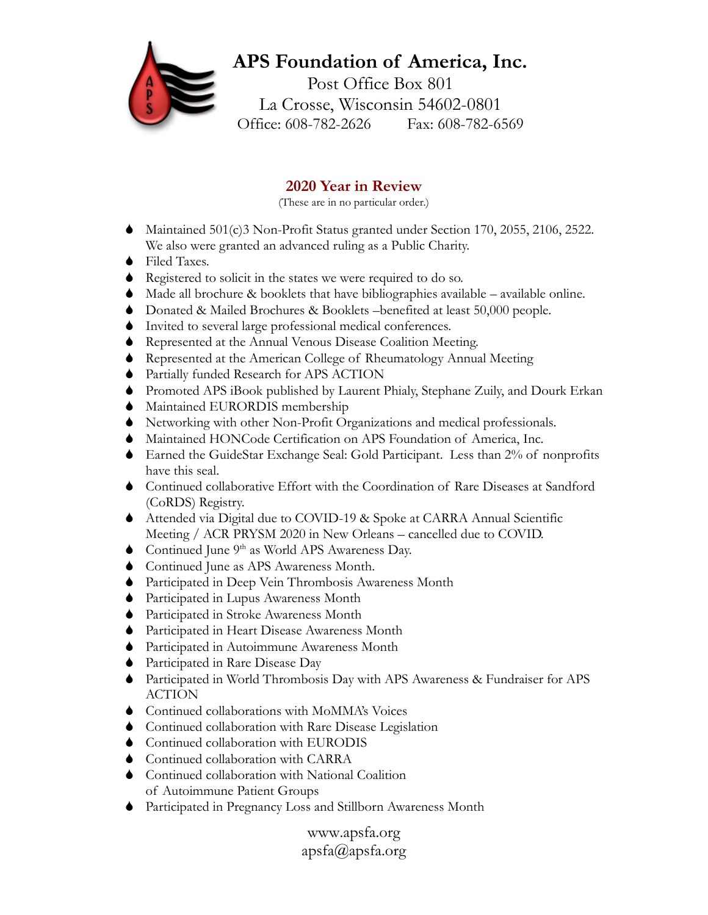## **APS Foundation of America, Inc.**

Post Office Box 801 La Crosse, Wisconsin 54602-0801 Office: 608-782-2626 Fax: 608-782-6569

## **2020 Year in Review**

(These are in no particular order.)

- Maintained 501(c)3 Non-Profit Status granted under Section 170, 2055, 2106, 2522. We also were granted an advanced ruling as a Public Charity.
- ◆ Filed Taxes.
- Registered to solicit in the states we were required to do so.
- Made all brochure & booklets that have bibliographies available available online.
- Donated & Mailed Brochures & Booklets –benefited at least 50,000 people.
- Invited to several large professional medical conferences.
- Represented at the Annual Venous Disease Coalition Meeting.
- Represented at the American College of Rheumatology Annual Meeting
- Partially funded Research for APS ACTION
- Promoted APS iBook published by Laurent Phialy, Stephane Zuily, and Dourk Erkan
- $\blacklozenge$  Maintained EURORDIS membership
- Networking with other Non-Profit Organizations and medical professionals.
- Maintained HONCode Certification on APS Foundation of America, Inc.
- Earned the GuideStar Exchange Seal: Gold Participant. Less than 2% of nonprofits have this seal.
- Continued collaborative Effort with the Coordination of Rare Diseases at Sandford (CoRDS) Registry.
- Attended via Digital due to COVID-19 & Spoke at CARRA Annual Scientific Meeting / ACR PRYSM 2020 in New Orleans – cancelled due to COVID.
- Continued June  $9<sup>th</sup>$  as World APS Awareness Day.
- Continued June as APS Awareness Month.
- Participated in Deep Vein Thrombosis Awareness Month
- Participated in Lupus Awareness Month
- Participated in Stroke Awareness Month
- Participated in Heart Disease Awareness Month
- Participated in Autoimmune Awareness Month
- Participated in Rare Disease Day
- Participated in World Thrombosis Day with APS Awareness & Fundraiser for APS ACTION
- Continued collaborations with MoMMA's Voices
- Continued collaboration with Rare Disease Legislation
- Continued collaboration with EURODIS
- ♦ Continued collaboration with CARRA
- Continued collaboration with National Coalition of Autoimmune Patient Groups
- Participated in Pregnancy Loss and Stillborn Awareness Month

www.apsfa.org apsfa@apsfa.org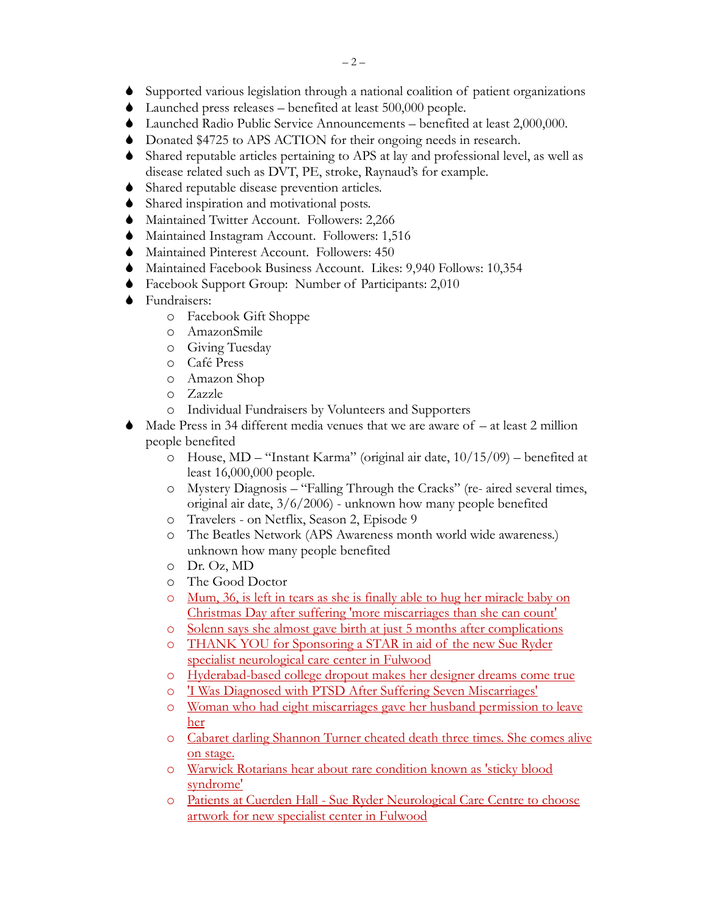- Supported various legislation through a national coalition of patient organizations
- Launched press releases benefited at least 500,000 people.
- Launched Radio Public Service Announcements benefited at least 2,000,000.
- Donated \$4725 to APS ACTION for their ongoing needs in research.
- Shared reputable articles pertaining to APS at lay and professional level, as well as disease related such as DVT, PE, stroke, Raynaud's for example.
- Shared reputable disease prevention articles.
- Shared inspiration and motivational posts.
- Maintained Twitter Account. Followers: 2,266
- Maintained Instagram Account. Followers: 1,516
- Maintained Pinterest Account. Followers: 450
- Maintained Facebook Business Account. Likes: 9,940 Follows: 10,354
- Facebook Support Group: Number of Participants: 2,010
- **◆** Fundraisers:
	- o Facebook Gift Shoppe
	- o AmazonSmile
	- o Giving Tuesday
	- o Café Press
	- o Amazon Shop
	- o Zazzle
	- o Individual Fundraisers by Volunteers and Supporters
- Made Press in 34 different media venues that we are aware of at least 2 million people benefited
	- o House, MD "Instant Karma" (original air date, 10/15/09) benefited at least 16,000,000 people.
	- o Mystery Diagnosis "Falling Through the Cracks" (re- aired several times, original air date, 3/6/2006) - unknown how many people benefited
	- o Travelers on Netflix, Season 2, Episode 9
	- o The Beatles Network (APS Awareness month world wide awareness.) unknown how many people benefited
	- o Dr. Oz, MD
	- o The Good Doctor
	- o [Mum, 36, is left in tears as she is finally able](https://www.dailymail.co.uk/news/article-7829443/Melbourne-mum-finally-able-hug-baby-December-25-infant-born-four-months-early.html) to hug her miracle baby on [Christmas Day after suffering 'more miscarriages than she can count'](https://www.dailymail.co.uk/news/article-7829443/Melbourne-mum-finally-able-hug-baby-December-25-infant-born-four-months-early.html)
	- o [Solenn says she almost gave birth at just 5 months after complications](https://www.gmanetwork.com/news/showbiz/chikaminute/720737/solenn-says-she-almost-gave-birth-at-just-5-months-after-complications/story/)
	- o [THANK YOU for Sponsoring a STAR in aid of the new Sue Ryder](https://www.lep.co.uk/health/thank-you-sponsoring-star-aid-new-sue-ryder-specialist-neurological-care-centre-fulwood-1349027)  [specialist neurological care center](https://www.lep.co.uk/health/thank-you-sponsoring-star-aid-new-sue-ryder-specialist-neurological-care-centre-fulwood-1349027) in Fulwood
	- o [Hyderabad-based college dropout makes her designer dreams come true](https://www.newindianexpress.com/lifestyle/fashion/2020/jan/22/hyderabad-based-college-dropout-makes-her-designer-dreams-come-true-2092627.html)
	- o 'I Was Diagnosed with [PTSD After Suffering Seven Miscarriages'](https://www.tyla.com/healthy/life-news-post-traumatic-stress-miscarriage-aftercare-ectopic-pregnancy-20200122)
	- o [Woman who had eight miscarriages gave her husband permission to leave](https://www.liverpoolecho.co.uk/news/liverpool-news/woman-shares-hell-eight-miscarriages-17648183)  [her](https://www.liverpoolecho.co.uk/news/liverpool-news/woman-shares-hell-eight-miscarriages-17648183)
	- o [Cabaret darling Shannon Turner cheated death three times. She comes alive](https://www.inquirer.com/life/shannon-turner-trash-and-glitter-letage-20200210.html)  [on stage.](https://www.inquirer.com/life/shannon-turner-trash-and-glitter-letage-20200210.html)
	- o Warwick Rotarians hear about [rare condition known as 'sticky blood](https://www.warwickcourier.co.uk/news/warwick-rotarians-hear-about-about-rare-condition-known-as-sticky-blood-syndrome-1-9234944)  [syndrome'](https://www.warwickcourier.co.uk/news/warwick-rotarians-hear-about-about-rare-condition-known-as-sticky-blood-syndrome-1-9234944)
	- o Patients at Cuerden Hall [Sue Ryder Neurological Care Centre to choose](https://www.lep.co.uk/health/patients-cuerden-hall-sue-ryder-neurological-care-centre-choose-artwork-new-specialist-centre-fulwood-1883597)  [artwork for new specialist center](https://www.lep.co.uk/health/patients-cuerden-hall-sue-ryder-neurological-care-centre-choose-artwork-new-specialist-centre-fulwood-1883597) in Fulwood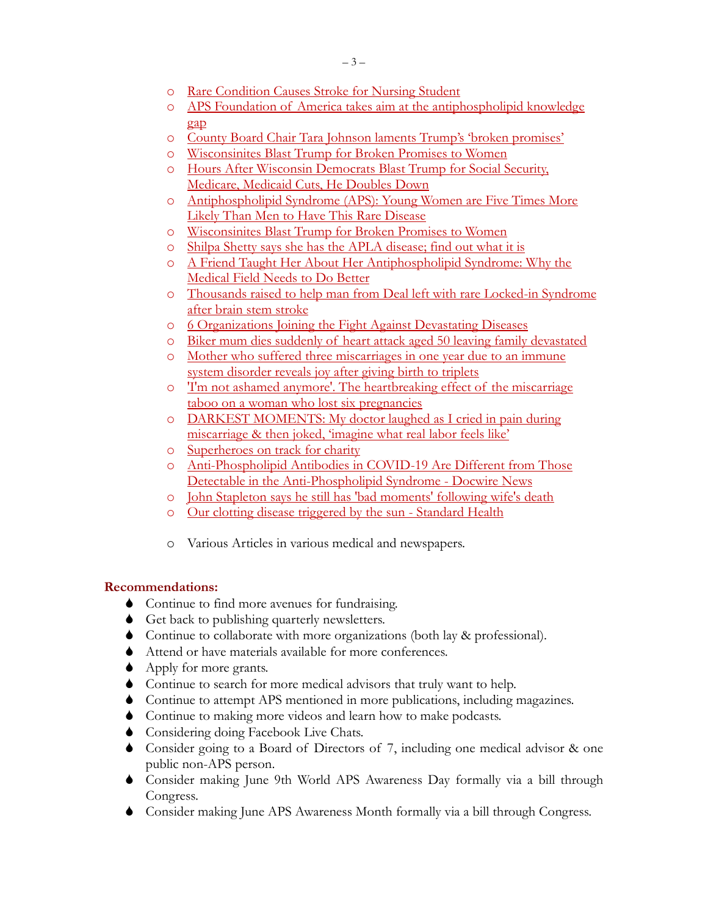- o [Rare Condition Causes Stroke for Nursing Student](https://www.unitypoint.org/waterloo/article.aspx?id=6290438f-f6d5-45df-92aa-60a2939c50f1&fbclid=IwAR0yp9CzpibZUtx_K1Al1NhZy3Uqwl4yiGqzfCR50n1MeXjMVb040F31MXU)
- o [APS Foundation of America takes aim at the antiphospholipid knowledge](https://www.healio.com/rheumatology/antiphospholipid-syndrome/news/online/%7Bebea7531-da27-43ae-82c1-2b199294df18%7D/aps-foundation-of-america-takes-aim-at-the-antiphospholipid-knowledge-gap?fbclid=IwAR3qLWIXe_Agl2VoNdNlS6bsg9zNiG1nAVmuU7gMNnwdXUdrP22kGsmqVaQ)  [gap](https://www.healio.com/rheumatology/antiphospholipid-syndrome/news/online/%7Bebea7531-da27-43ae-82c1-2b199294df18%7D/aps-foundation-of-america-takes-aim-at-the-antiphospholipid-knowledge-gap?fbclid=IwAR3qLWIXe_Agl2VoNdNlS6bsg9zNiG1nAVmuU7gMNnwdXUdrP22kGsmqVaQ)
- o County Board Chair [Tara Johnson laments Trump's 'broken promises'](https://www.news8000.com/county-board-chair-johnson-laments-trumps-broken-promises/)
- o [Wisconsinites Blast Trump for Broken Promises to Women](http://apsfa.org/new/wp-content/uploads/2020/03/2020-03-05-21.43.38.jpg)
- o [Hours After Wisconsin Democrats Blast Trump for Social Security,](https://wisdems.org/news/hours-after-wisconsin-democrats-blast-trump-for-social-security-medicare-medicaid-cuts-he-doubles-down/)  [Medicare, Medicaid Cuts, He Doubles Down](https://wisdems.org/news/hours-after-wisconsin-democrats-blast-trump-for-social-security-medicare-medicaid-cuts-he-doubles-down/)
- o [Antiphospholipid Syndrome \(APS\): Young Women are Five Times More](https://patientworthy.com/2020/03/09/antiphospholipid-syndrome-aps-women-five-men-rare-disease/)  [Likely Than Men to Have This Rare Disease](https://patientworthy.com/2020/03/09/antiphospholipid-syndrome-aps-women-five-men-rare-disease/)
- o [Wisconsinites Blast Trump for Broken Promises to Women](https://www.newsbreak.com/wisconsin/la-crosse/news/0OLEaWYY/wisconsinites-blast-trump-for-broken-promises-to-women)
- o [Shilpa Shetty says she has the APLA disease; find out what it is](https://indianexpress.com/article/parenting/health-fitness/shilpa-shetty-says-she-has-the-apla-disease-find-out-what-it-is-6417493)
- o [A Friend Taught Her About Her Antiphospholipid Syndrome: Why the](https://patientworthy.com/2020/05/25/friend-explained-antiphospholipid-syndrome-medical-improvement-needed)  [Medical Field Needs to Do Better](https://patientworthy.com/2020/05/25/friend-explained-antiphospholipid-syndrome-medical-improvement-needed)
- o [Thousands raised to help man from Deal left with rare Locked-in Syndrome](https://www.kentonline.co.uk/deal/news/bike-fanatic-left-unable-to-communicate-229930)  [after brain stem stroke](https://www.kentonline.co.uk/deal/news/bike-fanatic-left-unable-to-communicate-229930)
- o 6 Organizations Joining the [Fight Against Devastating Diseases](https://wiki.ezvid.com/m/6-organizations-joining-the-fight-against-devastating-diseases-by_56zuze5ttC)
- o [Biker mum dies suddenly of heart attack aged 50 leaving family devastated](https://www.dailystar.co.uk/news/latest-news/biker-mum-dies-suddenly-heart-22858155)
- o [Mother who suffered three miscarriages in one year due to an immune](https://www.dailymail.co.uk/femail/article-8902257/Mother-suffered-three-miscarriages-reveals-joy-giving-birth-TRIPLETS.html)  [system disorder reveals joy after giving birth to triplets](https://www.dailymail.co.uk/femail/article-8902257/Mother-suffered-three-miscarriages-reveals-joy-giving-birth-TRIPLETS.html)
- o ['I'm not ashamed anymore'. The heartbreaking effect of the miscarriage](https://www.manchestereveningnews.co.uk/news/greater-manchester-news/im-not-ashamed-anymore-heartbreaking-19187178)  [taboo on a woman who lost six pregnancies](https://www.manchestereveningnews.co.uk/news/greater-manchester-news/im-not-ashamed-anymore-heartbreaking-19187178)
- o [DARKEST MOMENTS: My doctor laughed as I cried in pain during](https://www.thesun.co.uk/fabulous/13220100/woman-miscarriage-doctor-joke-real-labour-pain/)  [miscarriage & then joked, 'imagine what real](https://www.thesun.co.uk/fabulous/13220100/woman-miscarriage-doctor-joke-real-labour-pain/) labor feels like'
- o [Superheroes on track for charity](https://www.wiltshiretimes.co.uk/news/18948604.superheroes-track-charity/?fbclid=IwAR17VENfWCNbjvKl41iRp8TlF3Fx_Ciu3x5GbvN_JqWpIbZN-5wMqX9PRhw)
- o [Anti-Phospholipid Antibodies in COVID-19 Are Different from](https://www.docwirenews.com/abstracts/anti-phospholipid-antibodies-in-covid-19-are-different-from-those-detectable-in-the-anti-phospholipid-syndrome/?fbclid=IwAR279I69TrAKaRndWsfnmX8IGFgGvcgp6mJl6eUbEnuWr4RKfMXVtkMyH3Q) Those [Detectable in the Anti-Phospholipid Syndrome](https://www.docwirenews.com/abstracts/anti-phospholipid-antibodies-in-covid-19-are-different-from-those-detectable-in-the-anti-phospholipid-syndrome/?fbclid=IwAR279I69TrAKaRndWsfnmX8IGFgGvcgp6mJl6eUbEnuWr4RKfMXVtkMyH3Q) - Docwire News
- o [John Stapleton says he still has 'bad moments' following wife's death](https://www.dailymail.co.uk/femail/article-9014987/John-Stapleton-says-really-bad-moments-following-wifes-death.html?fbclid=IwAR1n3uH9lWi6bJ1uzl6_SsFpXH8QgYk4Goc5PNtT1tbdZydRdboDFkNAUcw)
- o [Our clotting disease triggered by the sun -](https://www.standardmedia.co.ke/health/article/2001394843/our-clotting-disease-triggered-by-the-sun) Standard Health
- o Various Articles in various medical and newspapers.

## **Recommendations:**

- Continue to find more avenues for fundraising.
- Get back to publishing quarterly newsletters.
- Continue to collaborate with more organizations (both lay & professional).
- Attend or have materials available for more conferences.
- ◆ Apply for more grants.
- Continue to search for more medical advisors that truly want to help.
- Continue to attempt APS mentioned in more publications, including magazines.
- Continue to making more videos and learn how to make podcasts.
- ◆ Considering doing Facebook Live Chats.
- Consider going to a Board of Directors of 7, including one medical advisor & one public non-APS person.
- Consider making June 9th World APS Awareness Day formally via a bill through Congress.
- Consider making June APS Awareness Month formally via a bill through Congress.